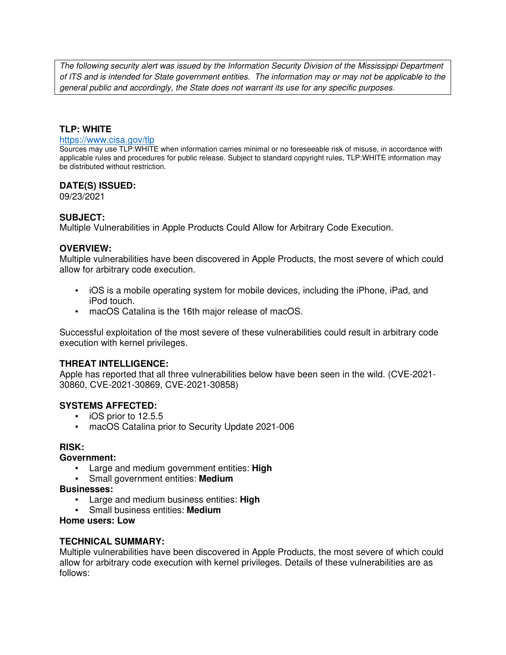The following security alert was issued by the Information Security Division of the Mississippi Department of ITS and is intended for State government entities. The information may or may not be applicable to the general public and accordingly, the State does not warrant its use for any specific purposes.

### **TLP: WHITE**

#### https://www.cisa.gov/tlp

Sources may use TLP:WHITE when information carries minimal or no foreseeable risk of misuse, in accordance with applicable rules and procedures for public release. Subject to standard copyright rules, TLP:WHITE information may be distributed without restriction.

#### **DATE(S) ISSUED:**

09/23/2021

#### **SUBJECT:**

Multiple Vulnerabilities in Apple Products Could Allow for Arbitrary Code Execution.

#### **OVERVIEW:**

Multiple vulnerabilities have been discovered in Apple Products, the most severe of which could allow for arbitrary code execution.

- iOS is a mobile operating system for mobile devices, including the iPhone, iPad, and iPod touch.
- macOS Catalina is the 16th major release of macOS.

Successful exploitation of the most severe of these vulnerabilities could result in arbitrary code execution with kernel privileges.

### **THREAT INTELLIGENCE:**

Apple has reported that all three vulnerabilities below have been seen in the wild. (CVE-2021- 30860, CVE-2021-30869, CVE-2021-30858)

### **SYSTEMS AFFECTED:**

- iOS prior to 12.5.5
- macOS Catalina prior to Security Update 2021-006

#### **RISK:**

#### **Government:**

- Large and medium government entities: **High**
- Small government entities: **Medium**

#### **Businesses:**

- Large and medium business entities: **High**
- Small business entities: **Medium**

#### **Home users: Low**

#### **TECHNICAL SUMMARY:**

Multiple vulnerabilities have been discovered in Apple Products, the most severe of which could allow for arbitrary code execution with kernel privileges. Details of these vulnerabilities are as follows: